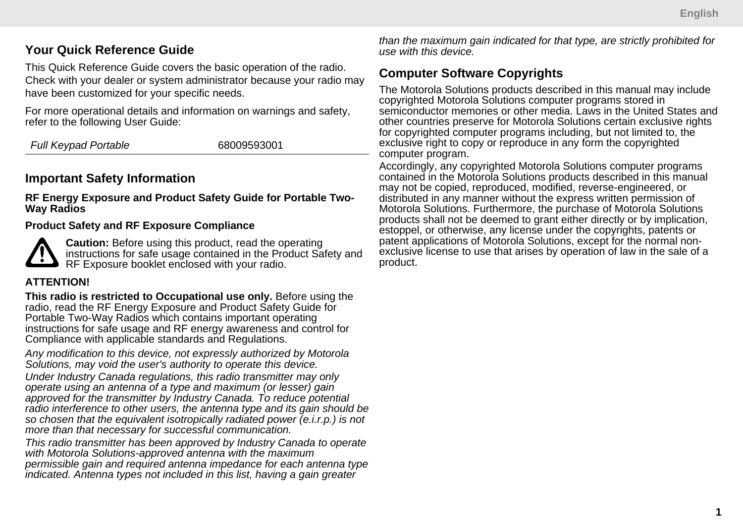## **Your Quick Reference Guide**

This Quick Reference Guide covers the basic operation of the radio. Check with your dealer or system administrator because your radio may have been customized for your specific needs.

For more operational details and information on warnings and safety, refer to the following User Guide:

*Full Keypad Portable* 68009593001

## **Important Safety Information**

**RF Energy Exposure and Product Safety Guide for Portable Two-Way Radios**

#### **Product Safety and RF Exposure Compliance**

**Caution:** Before using this product, read the operating instructions for safe usage contained in the Product Safety and RF Exposure booklet enclosed with your radio.

### **ATTENTION!**

**This radio is restricted to Occupational use only.** Before using the radio, read the RF Energy Exposure and Product Safety Guide for Portable Two-Way Radios which contains important operating instructions for safe usage and RF energy awareness and control for Compliance with applicable standards and Regulations.

*Any modification to this device, not expressly authorized by Motorola Solutions, may void the user's authority to operate this device. Under Industry Canada regulations, this radio transmitter may only operate using an antenna of a type and maximum (or lesser) gain approved for the transmitter by Industry Canada. To reduce potential radio interference to other users, the antenna type and its gain should be so chosen that the equivalent isotropically radiated power (e.i.r.p.) is not more than that necessary for successful communication.*

*This radio transmitter has been approved by Industry Canada to operate with Motorola Solutions-approved antenna with the maximum permissible gain and required antenna impedance for each antenna type indicated. Antenna types not included in this list, having a gain greater*

*than the maximum gain indicated for that type, are strictly prohibited for use with this device.*

### **Computer Software Copyrights**

The Motorola Solutions products described in this manual may include copyrighted Motorola Solutions computer programs stored in semiconductor memories or other media. Laws in the United States and other countries preserve for Motorola Solutions certain exclusive rights for copyrighted computer programs including, but not limited to, the exclusive right to copy or reproduce in any form the copyrighted computer program.

Accordingly, any copyrighted Motorola Solutions computer programs contained in the Motorola Solutions products described in this manual may not be copied, reproduced, modified, reverse-engineered, or distributed in any manner without the express written permission of Motorola Solutions. Furthermore, the purchase of Motorola Solutions products shall not be deemed to grant either directly or by implication, estoppel, or otherwise, any license under the copyrights, patents or patent applications of Motorola Solutions, except for the normal nonexclusive license to use that arises by operation of law in the sale of a product.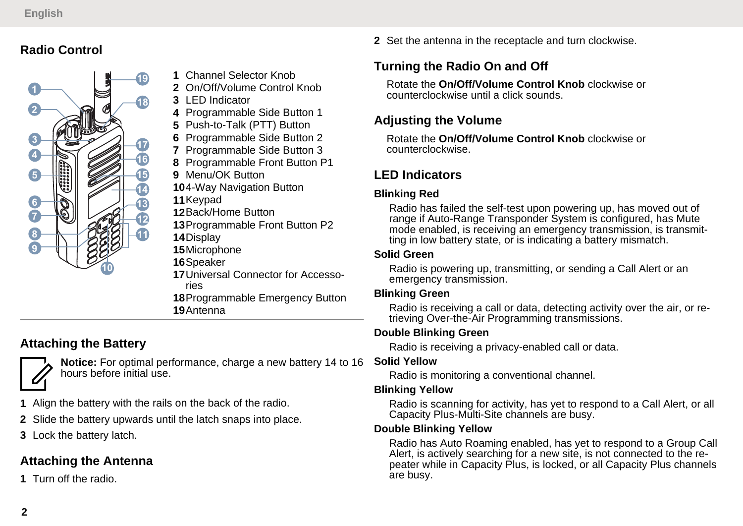## **Radio Control**



- **1** Channel Selector Knob
- **2** On/Off/Volume Control Knob
- **3** LED Indicator
- **4** Programmable Side Button 1
- **5** Push-to-Talk (PTT) Button
- **6** Programmable Side Button 2
- **7** Programmable Side Button 3
- **8** Programmable Front Button P1
- **9** Menu/OK Button
- **10**4-Way Navigation Button
- **11**Keypad
- **12**Back/Home Button
- **13**Programmable Front Button P2
- **14**Display
- **15**Microphone
- **16**Speaker
- **17**Universal Connector for Accessories **18**Programmable Emergency Button
- **19**Antenna

# **Attaching the Battery**

**Notice:** For optimal performance, charge a new battery 14 to 16 hours before initial use.

- **1** Align the battery with the rails on the back of the radio.
- **2** Slide the battery upwards until the latch snaps into place.
- **3** Lock the battery latch.

## **Attaching the Antenna**

**1** Turn off the radio.

**2** Set the antenna in the receptacle and turn clockwise.

# **Turning the Radio On and Off**

Rotate the **On/Off/Volume Control Knob** clockwise or counterclockwise until a click sounds.

### **Adjusting the Volume**

Rotate the **On/Off/Volume Control Knob** clockwise or counterclockwise.

## **LED Indicators**

### **Blinking Red**

Radio has failed the self-test upon powering up, has moved out of range if Auto-Range Transponder System is configured, has Mute mode enabled, is receiving an emergency transmission, is transmitting in low battery state, or is indicating a battery mismatch.

#### **Solid Green**

Radio is powering up, transmitting, or sending a Call Alert or an emergency transmission.

#### **Blinking Green**

Radio is receiving a call or data, detecting activity over the air, or retrieving Over-the-Air Programming transmissions.

### **Double Blinking Green**

Radio is receiving a privacy-enabled call or data.

#### **Solid Yellow**

Radio is monitoring a conventional channel.

#### **Blinking Yellow**

Radio is scanning for activity, has yet to respond to a Call Alert, or all Capacity Plus-Multi-Site channels are busy.

#### **Double Blinking Yellow**

Radio has Auto Roaming enabled, has yet to respond to a Group Call Alert, is actively searching for a new site, is not connected to the repeater while in Capacity Plus, is locked, or all Capacity Plus channels are busy.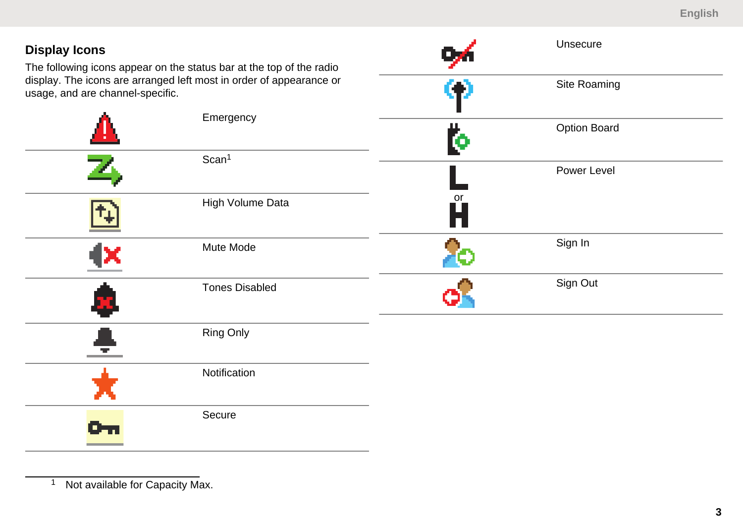| <b>Display Icons</b><br>The following icons appear on the status bar at the top of the radio<br>display. The icons are arranged left most in order of appearance or<br>usage, and are channel-specific. |                       | Unsecure |              |
|---------------------------------------------------------------------------------------------------------------------------------------------------------------------------------------------------------|-----------------------|----------|--------------|
|                                                                                                                                                                                                         |                       |          | Site Roaming |
|                                                                                                                                                                                                         | Emergency             | Ю        | Option Board |
| Ζ,                                                                                                                                                                                                      | Scan <sup>1</sup>     |          | Power Level  |
|                                                                                                                                                                                                         | High Volume Data      | or<br>H  |              |
|                                                                                                                                                                                                         | Mute Mode             |          | Sign In      |
| ×                                                                                                                                                                                                       | <b>Tones Disabled</b> | o.       | Sign Out     |
| Ξ                                                                                                                                                                                                       | Ring Only             |          |              |
|                                                                                                                                                                                                         | Notification          |          |              |
| œ.                                                                                                                                                                                                      | Secure                |          |              |

<sup>&</sup>lt;sup>1</sup> Not available for Capacity Max.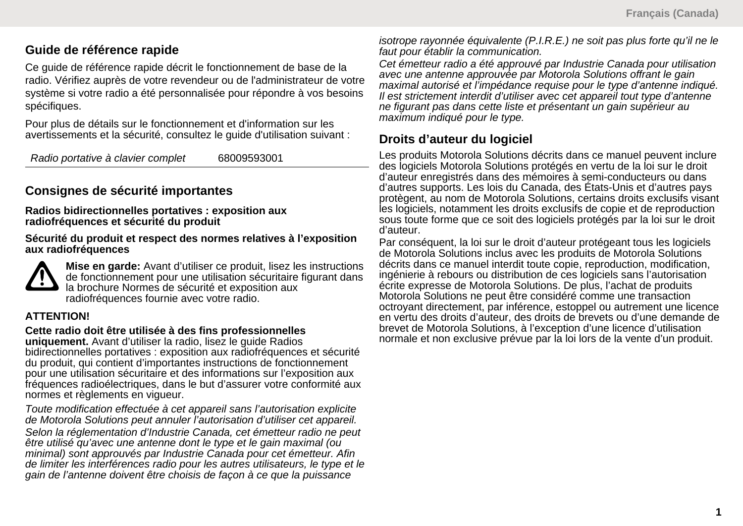### **Guide de référence rapide**

Ce guide de référence rapide décrit le fonctionnement de base de la radio. Vérifiez auprès de votre revendeur ou de l'administrateur de votre système si votre radio a été personnalisée pour répondre à vos besoins spécifiques.

Pour plus de détails sur le fonctionnement et d'information sur les avertissements et la sécurité, consultez le guide d'utilisation suivant :

*Radio portative à clavier complet* 68009593001

## **Consignes de sécurité importantes**

**Radios bidirectionnelles portatives : exposition aux radiofréquences et sécurité du produit**

**Sécurité du produit et respect des normes relatives à l'exposition aux radiofréquences**



**Mise en garde:** Avant d'utiliser ce produit, lisez les instructions de fonctionnement pour une utilisation sécuritaire figurant dans la brochure Normes de sécurité et exposition aux radiofréquences fournie avec votre radio.

### **ATTENTION!**

#### **Cette radio doit être utilisée à des fins professionnelles**

**uniquement.** Avant d'utiliser la radio, lisez le guide Radios bidirectionnelles portatives : exposition aux radiofréquences et sécurité du produit, qui contient d'importantes instructions de fonctionnement pour une utilisation sécuritaire et des informations sur l'exposition aux fréquences radioélectriques, dans le but d'assurer votre conformité aux normes et règlements en vigueur.

*Toute modification effectuée à cet appareil sans l'autorisation explicite de Motorola Solutions peut annuler l'autorisation d'utiliser cet appareil.*

*Selon la réglementation d'Industrie Canada, cet émetteur radio ne peut être utilisé qu'avec une antenne dont le type et le gain maximal (ou minimal) sont approuvés par Industrie Canada pour cet émetteur. Afin de limiter les interférences radio pour les autres utilisateurs, le type et le gain de l'antenne doivent être choisis de façon à ce que la puissance*

*isotrope rayonnée équivalente (P.I.R.E.) ne soit pas plus forte qu'il ne le faut pour établir la communication.*

*Cet émetteur radio a été approuvé par Industrie Canada pour utilisation avec une antenne approuvée par Motorola Solutions offrant le gain maximal autorisé et l'impédance requise pour le type d'antenne indiqué. Il est strictement interdit d'utiliser avec cet appareil tout type d'antenne ne figurant pas dans cette liste et présentant un gain supérieur au maximum indiqué pour le type.*

### **Droits d'auteur du logiciel**

Les produits Motorola Solutions décrits dans ce manuel peuvent inclure des logiciels Motorola Solutions protégés en vertu de la loi sur le droit d'auteur enregistrés dans des mémoires à semi-conducteurs ou dans d'autres supports. Les lois du Canada, des États-Unis et d'autres pays protègent, au nom de Motorola Solutions, certains droits exclusifs visant les logiciels, notamment les droits exclusifs de copie et de reproduction sous toute forme que ce soit des logiciels protégés par la loi sur le droit d'auteur.

Par conséquent, la loi sur le droit d'auteur protégeant tous les logiciels de Motorola Solutions inclus avec les produits de Motorola Solutions décrits dans ce manuel interdit toute copie, reproduction, modification, ingénierie à rebours ou distribution de ces logiciels sans l'autorisation écrite expresse de Motorola Solutions. De plus, l'achat de produits Motorola Solutions ne peut être considéré comme une transaction octroyant directement, par inférence, estoppel ou autrement une licence en vertu des droits d'auteur, des droits de brevets ou d'une demande de brevet de Motorola Solutions, à l'exception d'une licence d'utilisation normale et non exclusive prévue par la loi lors de la vente d'un produit.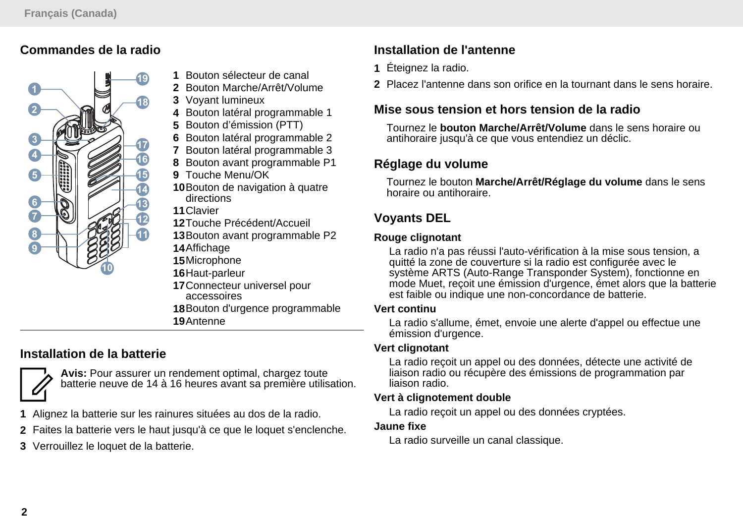## **Commandes de la radio**



- **1** Bouton sélecteur de canal
- **2** Bouton Marche/Arrêt/Volume
- **3** Voyant lumineux
- **4** Bouton latéral programmable 1
- **5** Bouton d'émission (PTT)
- **6** Bouton latéral programmable 2
- **7** Bouton latéral programmable 3
- **8** Bouton avant programmable P1
- **9** Touche Menu/OK
- **10**Bouton de navigation à quatre directions
- **11**Clavier
- **12**Touche Précédent/Accueil
- **13**Bouton avant programmable P2
- **14**Affichage
- **15**Microphone
- **16**Haut-parleur
- **17**Connecteur universel pour accessoires **18**Bouton d'urgence programmable
- **19**Antenne

# **Installation de la batterie**

**Avis:** Pour assurer un rendement optimal, chargez toute batterie neuve de 14 à 16 heures avant sa première utilisation.

- **1** Alignez la batterie sur les rainures situées au dos de la radio.
- **2** Faites la batterie vers le haut jusqu'à ce que le loquet s'enclenche.
- **3** Verrouillez le loquet de la batterie.

# **Installation de l'antenne**

- **1** Éteignez la radio.
- **2** Placez l'antenne dans son orifice en la tournant dans le sens horaire.

# **Mise sous tension et hors tension de la radio**

Tournez le **bouton Marche/Arrêt/Volume** dans le sens horaire ou antihoraire jusqu'à ce que vous entendiez un déclic.

### **Réglage du volume**

Tournez le bouton **Marche/Arrêt/Réglage du volume** dans le sens horaire ou antihoraire.

### **Voyants DEL**

#### **Rouge clignotant**

La radio n'a pas réussi l'auto-vérification à la mise sous tension, a quitté la zone de couverture si la radio est configurée avec le système ARTS (Auto-Range Transponder System), fonctionne en mode Muet, reçoit une émission d'urgence, émet alors que la batterie est faible ou indique une non-concordance de batterie.

#### **Vert continu**

La radio s'allume, émet, envoie une alerte d'appel ou effectue une émission d'urgence.

#### **Vert clignotant**

La radio reçoit un appel ou des données, détecte une activité de liaison radio ou récupère des émissions de programmation par liaison radio.

### **Vert à clignotement double**

La radio reçoit un appel ou des données cryptées.

### **Jaune fixe**

La radio surveille un canal classique.